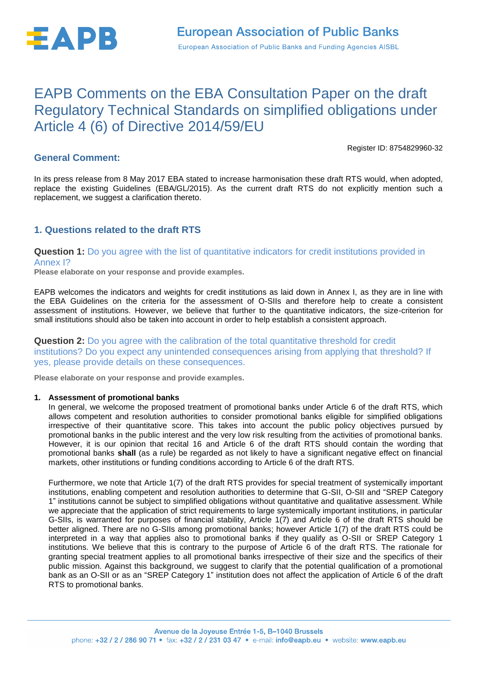

# EAPB Comments on the EBA Consultation Paper on the draft Regulatory Technical Standards on simplified obligations under Article 4 (6) of Directive 2014/59/EU

Register ID: 8754829960-32

# **General Comment:**

In its press release from 8 May 2017 EBA stated to increase harmonisation these draft RTS would, when adopted, replace the existing Guidelines (EBA/GL/2015). As the current draft RTS do not explicitly mention such a replacement, we suggest a clarification thereto.

# **1. Questions related to the draft RTS**

### **Question 1:** Do you agree with the list of quantitative indicators for credit institutions provided in Annex I?

**Please elaborate on your response and provide examples.**

EAPB welcomes the indicators and weights for credit institutions as laid down in Annex I, as they are in line with the EBA Guidelines on the criteria for the assessment of O-SIIs and therefore help to create a consistent assessment of institutions. However, we believe that further to the quantitative indicators, the size-criterion for small institutions should also be taken into account in order to help establish a consistent approach.

**Question 2:** Do you agree with the calibration of the total quantitative threshold for credit institutions? Do you expect any unintended consequences arising from applying that threshold? If yes, please provide details on these consequences.

**Please elaborate on your response and provide examples.**

#### **1. Assessment of promotional banks**

In general, we welcome the proposed treatment of promotional banks under Article 6 of the draft RTS, which allows competent and resolution authorities to consider promotional banks eligible for simplified obligations irrespective of their quantitative score. This takes into account the public policy objectives pursued by promotional banks in the public interest and the very low risk resulting from the activities of promotional banks. However, it is our opinion that recital 16 and Article 6 of the draft RTS should contain the wording that promotional banks **shall** (as a rule) be regarded as not likely to have a significant negative effect on financial markets, other institutions or funding conditions according to Article 6 of the draft RTS.

Furthermore, we note that Article 1(7) of the draft RTS provides for special treatment of systemically important institutions, enabling competent and resolution authorities to determine that G-SII, O-SII and "SREP Category 1" institutions cannot be subject to simplified obligations without quantitative and qualitative assessment. While we appreciate that the application of strict requirements to large systemically important institutions, in particular G-SIIs, is warranted for purposes of financial stability, Article 1(7) and Article 6 of the draft RTS should be better aligned. There are no G-SIIs among promotional banks; however Article 1(7) of the draft RTS could be interpreted in a way that applies also to promotional banks if they qualify as O-SII or SREP Category 1 institutions. We believe that this is contrary to the purpose of Article 6 of the draft RTS. The rationale for granting special treatment applies to all promotional banks irrespective of their size and the specifics of their public mission. Against this background, we suggest to clarify that the potential qualification of a promotional bank as an O-SII or as an "SREP Category 1" institution does not affect the application of Article 6 of the draft RTS to promotional banks.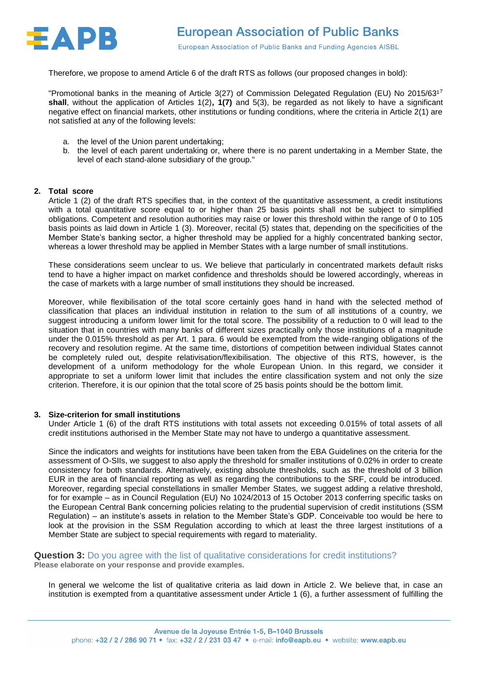

Therefore, we propose to amend Article 6 of the draft RTS as follows (our proposed changes in bold):

"Promotional banks in the meaning of Article 3(27) of Commission Delegated Regulation (EU) No 2015/63<sup>17</sup> **shall**, without the application of Articles 1(2)**, 1(7)** and 5(3), be regarded as not likely to have a significant negative effect on financial markets, other institutions or funding conditions, where the criteria in Article 2(1) are not satisfied at any of the following levels:

- a. the level of the Union parent undertaking;
- b. the level of each parent undertaking or, where there is no parent undertaking in a Member State, the level of each stand-alone subsidiary of the group."

#### **2. Total score**

Article 1 (2) of the draft RTS specifies that, in the context of the quantitative assessment, a credit institutions with a total quantitative score equal to or higher than 25 basis points shall not be subject to simplified obligations. Competent and resolution authorities may raise or lower this threshold within the range of 0 to 105 basis points as laid down in Article 1 (3). Moreover, recital (5) states that, depending on the specificities of the Member State's banking sector, a higher threshold may be applied for a highly concentrated banking sector, whereas a lower threshold may be applied in Member States with a large number of small institutions.

These considerations seem unclear to us. We believe that particularly in concentrated markets default risks tend to have a higher impact on market confidence and thresholds should be lowered accordingly, whereas in the case of markets with a large number of small institutions they should be increased.

Moreover, while flexibilisation of the total score certainly goes hand in hand with the selected method of classification that places an individual institution in relation to the sum of all institutions of a country, we suggest introducing a uniform lower limit for the total score. The possibility of a reduction to 0 will lead to the situation that in countries with many banks of different sizes practically only those institutions of a magnitude under the 0.015% threshold as per Art. 1 para. 6 would be exempted from the wide-ranging obligations of the recovery and resolution regime. At the same time, distortions of competition between individual States cannot be completely ruled out, despite relativisation/flexibilisation. The objective of this RTS, however, is the development of a uniform methodology for the whole European Union. In this regard, we consider it appropriate to set a uniform lower limit that includes the entire classification system and not only the size criterion. Therefore, it is our opinion that the total score of 25 basis points should be the bottom limit.

#### **3. Size-criterion for small institutions**

Under Article 1 (6) of the draft RTS institutions with total assets not exceeding 0.015% of total assets of all credit institutions authorised in the Member State may not have to undergo a quantitative assessment.

Since the indicators and weights for institutions have been taken from the EBA Guidelines on the criteria for the assessment of O-SIIs, we suggest to also apply the threshold for smaller institutions of 0.02% in order to create consistency for both standards. Alternatively, existing absolute thresholds, such as the threshold of 3 billion EUR in the area of financial reporting as well as regarding the contributions to the SRF, could be introduced. Moreover, regarding special constellations in smaller Member States, we suggest adding a relative threshold, for for example – as in Council Regulation (EU) No 1024/2013 of 15 October 2013 conferring specific tasks on the European Central Bank concerning policies relating to the prudential supervision of credit institutions (SSM Regulation) – an institute's assets in relation to the Member State's GDP. Conceivable too would be here to look at the provision in the SSM Regulation according to which at least the three largest institutions of a Member State are subject to special requirements with regard to materiality.

**Question 3:** Do you agree with the list of qualitative considerations for credit institutions? **Please elaborate on your response and provide examples.**

In general we welcome the list of qualitative criteria as laid down in Article 2. We believe that, in case an institution is exempted from a quantitative assessment under Article 1 (6), a further assessment of fulfilling the